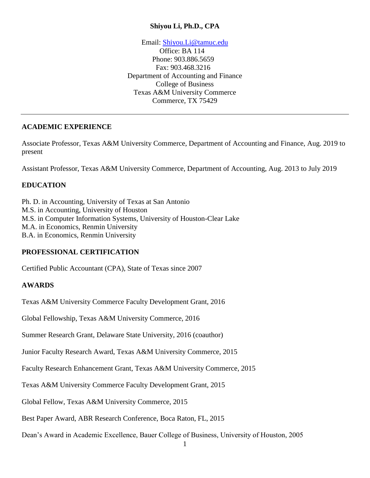### **Shiyou Li, Ph.D., CPA**

Email: [Shiyou.Li@tamuc.edu](mailto:Shiyou.Li@tamuc.edu)

 Office: BA 114 Phone: 903.886.5659 Fax: 903.468.3216 Department of Accounting and Finance College of Business Texas A&M University Commerce Commerce, TX 75429

### **ACADEMIC EXPERIENCE**

Associate Professor, Texas A&M University Commerce, Department of Accounting and Finance, Aug. 2019 to present

Assistant Professor, Texas A&M University Commerce, Department of Accounting, Aug. 2013 to July 2019

## **EDUCATION**

Ph. D. in Accounting, University of Texas at San Antonio M.S. in Accounting, University of Houston M.S. in Computer Information Systems, University of Houston-Clear Lake M.A. in Economics, Renmin University B.A. in Economics, Renmin University

# **PROFESSIONAL CERTIFICATION**

Certified Public Accountant (CPA), State of Texas since 2007

### **AWARDS**

Texas A&M University Commerce Faculty Development Grant, 2016

Global Fellowship, Texas A&M University Commerce, 2016

Summer Research Grant, Delaware State University, 2016 (coauthor)

Junior Faculty Research Award, Texas A&M University Commerce, 2015

Faculty Research Enhancement Grant, Texas A&M University Commerce, 2015

Texas A&M University Commerce Faculty Development Grant, 2015

Global Fellow, Texas A&M University Commerce, 2015

Best Paper Award, ABR Research Conference, Boca Raton, FL, 2015

Dean's Award in Academic Excellence, Bauer College of Business, University of Houston, 2005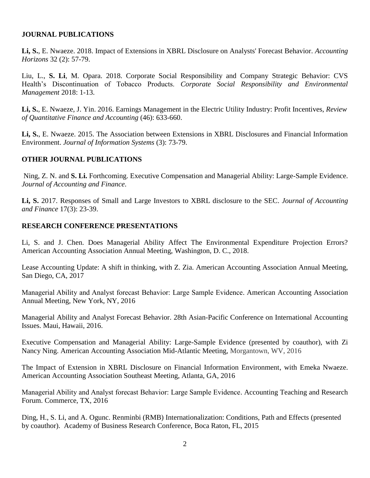#### **JOURNAL PUBLICATIONS**

**Li, S.**, E. Nwaeze. 2018. Impact of Extensions in XBRL Disclosure on Analysts' Forecast Behavior. *Accounting Horizons* 32 (2): 57-79.

Liu, L., **S. Li**, M. Opara. 2018. Corporate Social Responsibility and Company Strategic Behavior: CVS Health's Discontinuation of Tobacco Products. *Corporate Social Responsibility and Environmental Management* 2018: 1-13.

**Li, S.**, E. Nwaeze, J. Yin. 2016. Earnings Management in the Electric Utility Industry: Profit Incentives, *Review of Quantitative Finance and Accounting* (46): 633-660.

**Li, S.**, E. Nwaeze. 2015. The Association between Extensions in XBRL Disclosures and Financial Information Environment. *Journal of Information Systems* (3): 73-79.

#### **OTHER JOURNAL PUBLICATIONS**

Ning, Z. N. and **S. Li.** Forthcoming. Executive Compensation and Managerial Ability: Large-Sample Evidence. *Journal of Accounting and Finance*.

**Li, S.** 2017. Responses of Small and Large Investors to XBRL disclosure to the SEC. *Journal of Accounting and Finance* 17(3): 23-39.

#### **RESEARCH CONFERENCE PRESENTATIONS**

Li, S. and J. Chen. Does Managerial Ability Affect The Environmental Expenditure Projection Errors? American Accounting Association Annual Meeting, Washington, D. C., 2018.

Lease Accounting Update: A shift in thinking, with Z. Zia. American Accounting Association Annual Meeting, San Diego, CA, 2017

Managerial Ability and Analyst forecast Behavior: Large Sample Evidence. American Accounting Association Annual Meeting, New York, NY, 2016

Managerial Ability and Analyst Forecast Behavior. 28th Asian-Pacific Conference on International Accounting Issues. Maui, Hawaii, 2016.

Executive Compensation and Managerial Ability: Large-Sample Evidence (presented by coauthor)*,* with Zi Nancy Ning. American Accounting Association Mid-Atlantic Meeting, Morgantown, WV, 2016

The Impact of Extension in XBRL Disclosure on Financial Information Environment, with Emeka Nwaeze. American Accounting Association Southeast Meeting, Atlanta, GA, 2016

Managerial Ability and Analyst forecast Behavior: Large Sample Evidence. Accounting Teaching and Research Forum. Commerce, TX, 2016

Ding, H., S. Li, and A. Ogunc. Renminbi (RMB) Internationalization: Conditions, Path and Effects (presented by coauthor). Academy of Business Research Conference, Boca Raton, FL, 2015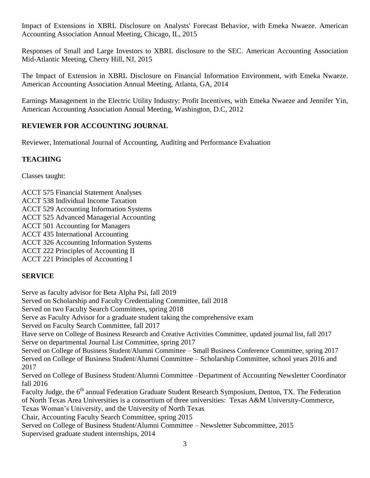Impact of Extensions in XBRL Disclosure on Analysts' Forecast Behavior, with Emeka Nwaeze. American Accounting Association Annual Meeting, Chicago, IL, 2015

Responses of Small and Large Investors to XBRL disclosure to the SEC. American Accounting Association Mid-Atlantic Meeting, Cherry Hill, NJ, 2015

The Impact of Extension in XBRL Disclosure on Financial Information Environment, with Emeka Nwaeze. American Accounting Association Annual Meeting, Atlanta, GA, 2014

Earnings Management in the Electric Utility Industry: Profit Incentives, with Emeka Nwaeze and Jennifer Yin, American Accounting Association Annual Meeting, Washington, D.C, 2012

# **REVIEWER FOR ACCOUNTING JOURNAL**

Reviewer, International Journal of Accounting, Auditing and Performance Evaluation

## **TEACHING**

Classes taught:

ACCT 575 Financial Statement Analyses

ACCT 538 Individual Income Taxation

ACCT 529 Accounting Information Systems

ACCT 525 Advanced Managerial Accounting

ACCT 501 Accounting for Managers

ACCT 435 International Accounting

ACCT 326 Accounting Information Systems

ACCT 222 Principles of Accounting II

ACCT 221 Principles of Accounting I

# **SERVICE**

Serve as faculty advisor for Beta Alpha Psi, fall 2019

Served on Scholarship and Faculty Credentialing Committee, fall 2018

Served on two Faculty Search Committees, spring 2018

Serve as Faculty Advisor for a graduate student taking the comprehensive exam

Served on Faculty Search Committee, fall 2017

Have serve on College of Business Research and Creative Activities Committee, updated journal list, fall 2017 Serve on departmental Journal List Committee, spring 2017

Served on College of Business Student/Alumni Committee – Small Business Conference Committee, spring 2017 Served on College of Business Student/Alumni Committee – Scholarship Committee, school years 2016 and 2017

Served on College of Business Student/Alumni Committee –Department of Accounting Newsletter Coordinator fall 2016

Faculty Judge, the 6<sup>th</sup> annual Federation Graduate Student Research Symposium, Denton, TX. The Federation of North Texas Area Universities is a consortium of three universities: Texas A&M University-Commerce, Texas Woman's University, and the University of North Texas

Chair, Accounting Faculty Search Committee, spring 2015

Served on College of Business Student/Alumni Committee – Newsletter Subcommittee, 2015 Supervised graduate student internships, 2014